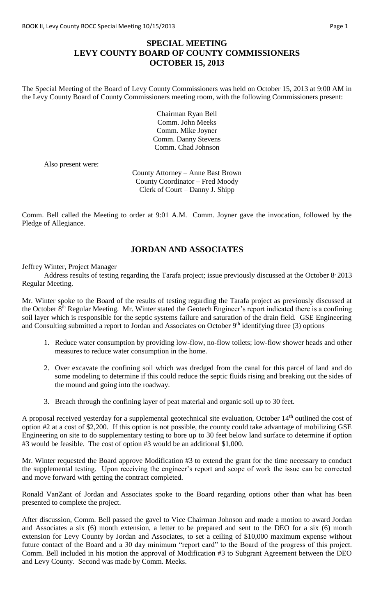## **SPECIAL MEETING LEVY COUNTY BOARD OF COUNTY COMMISSIONERS OCTOBER 15, 2013**

The Special Meeting of the Board of Levy County Commissioners was held on October 15, 2013 at 9:00 AM in the Levy County Board of County Commissioners meeting room, with the following Commissioners present:

> Chairman Ryan Bell Comm. John Meeks Comm. Mike Joyner Comm. Danny Stevens Comm. Chad Johnson

Also present were:

County Attorney – Anne Bast Brown County Coordinator – Fred Moody Clerk of Court – Danny J. Shipp

Comm. Bell called the Meeting to order at 9:01 A.M. Comm. Joyner gave the invocation, followed by the Pledge of Allegiance.

## **JORDAN AND ASSOCIATES**

Jeffrey Winter, Project Manager

Address results of testing regarding the Tarafa project; issue previously discussed at the October 8<sup>,</sup> 2013 Regular Meeting.

Mr. Winter spoke to the Board of the results of testing regarding the Tarafa project as previously discussed at the October 8<sup>th</sup> Regular Meeting. Mr. Winter stated the Geotech Engineer's report indicated there is a confining soil layer which is responsible for the septic systems failure and saturation of the drain field. GSE Engineering and Consulting submitted a report to Jordan and Associates on October 9<sup>th</sup> identifying three (3) options

- 1. Reduce water consumption by providing low-flow, no-flow toilets; low-flow shower heads and other measures to reduce water consumption in the home.
- 2. Over excavate the confining soil which was dredged from the canal for this parcel of land and do some modeling to determine if this could reduce the septic fluids rising and breaking out the sides of the mound and going into the roadway.
- 3. Breach through the confining layer of peat material and organic soil up to 30 feet.

A proposal received yesterday for a supplemental geotechnical site evaluation, October 14<sup>th</sup> outlined the cost of option #2 at a cost of \$2,200. If this option is not possible, the county could take advantage of mobilizing GSE Engineering on site to do supplementary testing to bore up to 30 feet below land surface to determine if option #3 would be feasible. The cost of option #3 would be an additional \$1,000.

Mr. Winter requested the Board approve Modification #3 to extend the grant for the time necessary to conduct the supplemental testing. Upon receiving the engineer's report and scope of work the issue can be corrected and move forward with getting the contract completed.

Ronald VanZant of Jordan and Associates spoke to the Board regarding options other than what has been presented to complete the project.

After discussion, Comm. Bell passed the gavel to Vice Chairman Johnson and made a motion to award Jordan and Associates a six (6) month extension, a letter to be prepared and sent to the DEO for a six (6) month extension for Levy County by Jordan and Associates, to set a ceiling of \$10,000 maximum expense without future contact of the Board and a 30 day minimum "report card" to the Board of the progress of this project. Comm. Bell included in his motion the approval of Modification #3 to Subgrant Agreement between the DEO and Levy County. Second was made by Comm. Meeks.